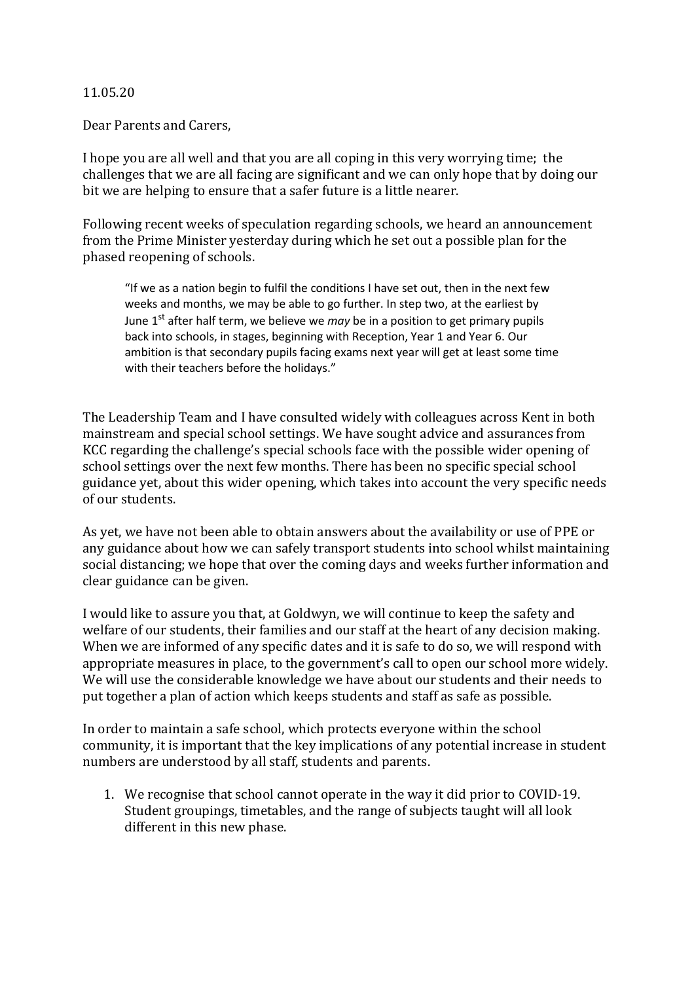## 11.05.20

Dear Parents and Carers,

I hope you are all well and that you are all coping in this very worrying time; the challenges that we are all facing are significant and we can only hope that by doing our bit we are helping to ensure that a safer future is a little nearer.

Following recent weeks of speculation regarding schools, we heard an announcement from the Prime Minister yesterday during which he set out a possible plan for the phased reopening of schools.

"If we as a nation begin to fulfil the conditions I have set out, then in the next few weeks and months, we may be able to go further. In step two, at the earliest by June 1<sup>st</sup> after half term, we believe we *may* be in a position to get primary pupils back into schools, in stages, beginning with Reception, Year 1 and Year 6. Our ambition is that secondary pupils facing exams next year will get at least some time with their teachers before the holidays."

The Leadership Team and I have consulted widely with colleagues across Kent in both mainstream and special school settings. We have sought advice and assurances from KCC regarding the challenge's special schools face with the possible wider opening of school settings over the next few months. There has been no specific special school guidance yet, about this wider opening, which takes into account the very specific needs of our students.

As yet, we have not been able to obtain answers about the availability or use of PPE or any guidance about how we can safely transport students into school whilst maintaining social distancing; we hope that over the coming days and weeks further information and clear guidance can be given.

I would like to assure you that, at Goldwyn, we will continue to keep the safety and welfare of our students, their families and our staff at the heart of any decision making. When we are informed of any specific dates and it is safe to do so, we will respond with appropriate measures in place, to the government's call to open our school more widely. We will use the considerable knowledge we have about our students and their needs to put together a plan of action which keeps students and staff as safe as possible.

In order to maintain a safe school, which protects everyone within the school community, it is important that the key implications of any potential increase in student numbers are understood by all staff, students and parents.

1. We recognise that school cannot operate in the way it did prior to COVID-19. Student groupings, timetables, and the range of subjects taught will all look different in this new phase.